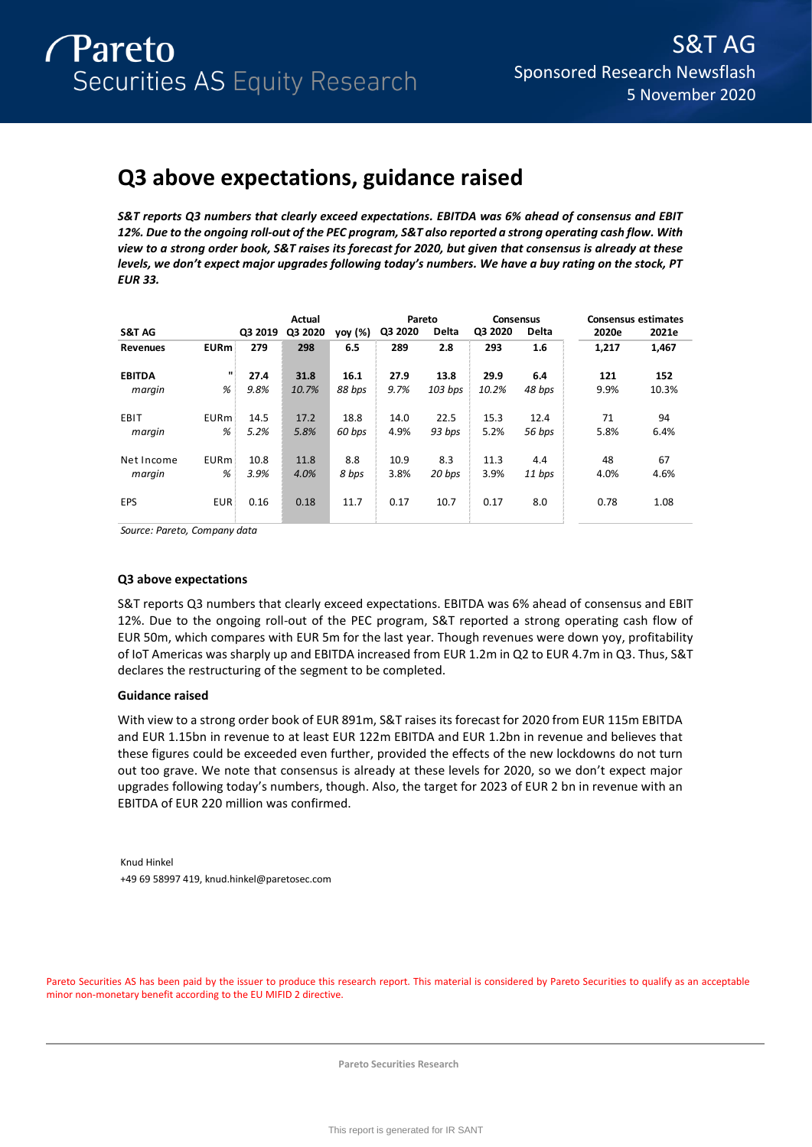# **Q3 above expectations, guidance raised**

*S&T reports Q3 numbers that clearly exceed expectations. EBITDA was 6% ahead of consensus and EBIT 12%. Due to the ongoing roll-out of the PEC program, S&T also reported a strong operating cash flow. With view to a strong order book, S&T raises its forecast for 2020, but given that consensus is already at these levels, we don't expect major upgrades following today's numbers. We have a buy rating on the stock, PT EUR 33.* 

|                   |              |         | Actual  |         | Pareto  |              | Consensus |              |       | <b>Consensus estimates</b> |
|-------------------|--------------|---------|---------|---------|---------|--------------|-----------|--------------|-------|----------------------------|
| <b>S&amp;T AG</b> |              | Q3 2019 | Q3 2020 | yoy (%) | Q3 2020 | <b>Delta</b> | Q3 2020   | <b>Delta</b> | 2020e | 2021e                      |
| <b>Revenues</b>   | <b>EURm</b>  | 279     | 298     | 6.5     | 289     | 2.8          | 293       | 1.6          | 1.217 | 1,467                      |
| <b>EBITDA</b>     | $\mathbf{u}$ | 27.4    | 31.8    | 16.1    | 27.9    | 13.8         | 29.9      | 6.4          | 121   | 152                        |
| margin            | %            | 9.8%    | 10.7%   | 88 bps  | 9.7%    | $103$ bps    | 10.2%     | 48 bps       | 9.9%  | 10.3%                      |
|                   |              |         |         |         |         |              |           |              |       |                            |
| EBIT              | <b>EURm</b>  | 14.5    | 17.2    | 18.8    | 14.0    | 22.5         | 15.3      | 12.4         | 71    | 94                         |
| margin            | %            | 5.2%    | 5.8%    | 60 bps  | 4.9%    | 93 bps       | 5.2%      | 56 bps       | 5.8%  | 6.4%                       |
| Net Income        | <b>EURm</b>  | 10.8    | 11.8    | 8.8     | 10.9    | 8.3          | 11.3      | 4.4          | 48    | 67                         |
|                   |              |         |         |         |         |              |           |              |       |                            |
| margin            | %            | 3.9%    | 4.0%    | 8 bps   | 3.8%    | 20 bps       | 3.9%      | 11 bps       | 4.0%  | 4.6%                       |
| <b>EPS</b>        | <b>EUR</b>   | 0.16    | 0.18    | 11.7    | 0.17    | 10.7         | 0.17      | 8.0          | 0.78  | 1.08                       |
|                   |              |         |         |         |         |              |           |              |       |                            |

*Source: Pareto, Company data*

### **Q3 above expectations**

S&T reports Q3 numbers that clearly exceed expectations. EBITDA was 6% ahead of consensus and EBIT 12%. Due to the ongoing roll-out of the PEC program, S&T reported a strong operating cash flow of EUR 50m, which compares with EUR 5m for the last year. Though revenues were down yoy, profitability of IoT Americas was sharply up and EBITDA increased from EUR 1.2m in Q2 to EUR 4.7m in Q3. Thus, S&T declares the restructuring of the segment to be completed.

### **Guidance raised**

With view to a strong order book of EUR 891m, S&T raises its forecast for 2020 from EUR 115m EBITDA and EUR 1.15bn in revenue to at least EUR 122m EBITDA and EUR 1.2bn in revenue and believes that these figures could be exceeded even further, provided the effects of the new lockdowns do not turn out too grave. We note that consensus is already at these levels for 2020, so we don't expect major upgrades following today's numbers, though. Also, the target for 2023 of EUR 2 bn in revenue with an EBITDA of EUR 220 million was confirmed.

Knud Hinkel +49 69 58997 419, knud.hinkel@paretosec.com

Pareto Securities AS has been paid by the issuer to produce this research report. This material is considered by Pareto Securities to qualify as an acceptable minor non-monetary benefit according to the EU MIFID 2 directive.

**Pareto Securities Research**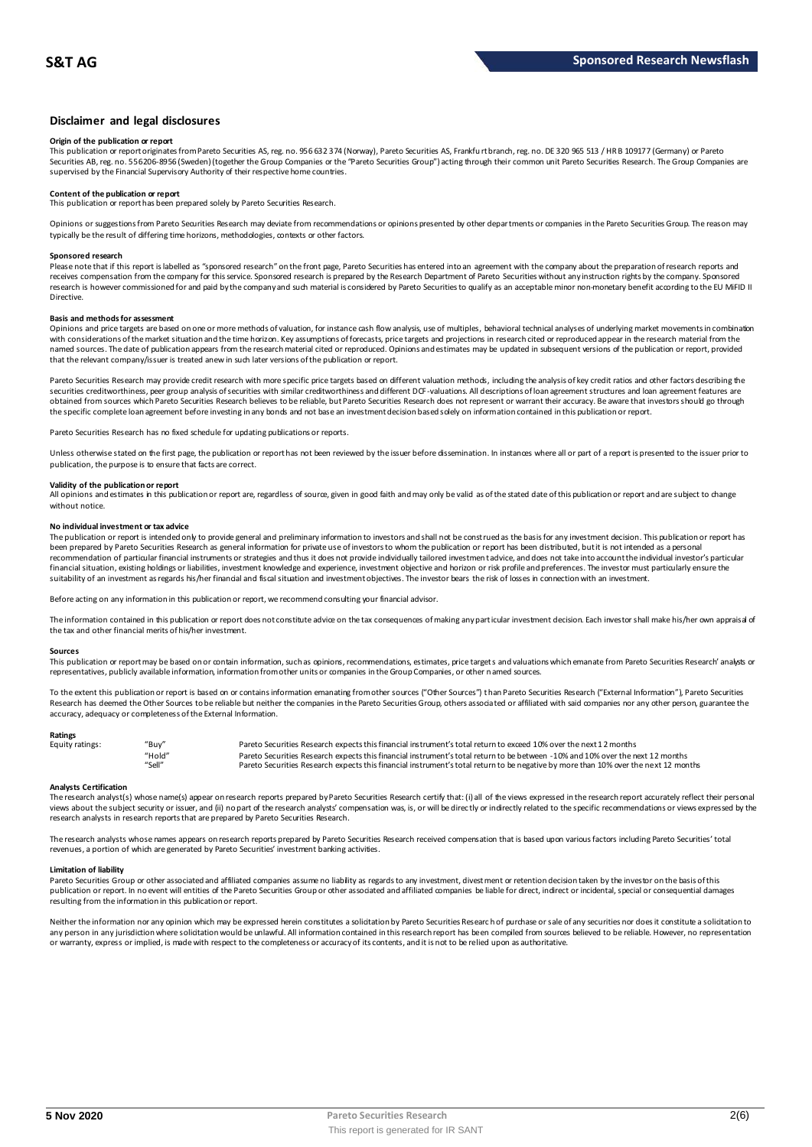### **Disclaimer and legal disclosures**

#### **Origin of the publication or report**

This publication or report originates from Pareto Securities AS, reg. no. 956 632 374 (Norway), Pareto Securities AS, Frankfu rt branch, reg. no. DE 320 965 513 / HR B 109177 (Germany) or Pareto Securities AB, reg. no. 556206-8956 (Sweden) (together the Group Companies or the "Pareto Securities Group") acting through their common unit Pareto Securities Research. The Group Companies are<br>supervised by the Financial

## **Content of the publication or report**

This publication or report has been prepared solely by Pareto Securities Research.

Opinions or suggestions from Pareto Securities Research may deviate from recommendations or opinions presented by other departments or companies in the Pareto Securities Group. The reason may typically be the result of differing time horizons, methodologies, contexts or other factors.

#### **Sponsored research**

Please note that if this report is labelled as "sponsored research" on the front page, Pareto Securities has entered into an agreement with the company about the preparation of research reports and<br>receives compensation fr research is however commissioned for and paid by the company and such material is considered by Pareto Securities to qualify as an acceptable minor non-monetary benefit according to the EU MiFID II Directive.

#### **Basis and methods for assessment**

Opinions and price targets are based on one or more methods of valuation, for instance cash flow analysis, use of multiples, behavioral technical analyses of underlying market movements in combination with considerations of the market situation and the time horizon. Key assumptions of forecasts, price targets and projections in research cited or reproduced appear in the research material from the named sources. The date of publication appears from the research material cited or reproduced. Opinions and estimates may be updated in subsequent versions of the publication or report, provided that the relevant company/issuer is treated anew in such later versions of the publication or report.

Pareto Securities Research may provide credit research with more specific price targets based on different valuation methods, including the analysis of key credit ratios and other factors describing the securities creditworthiness, peer group analysis of securities with similar creditworthiness and different DCF-valuations. All descriptions of loan agreement structures and loan agreement features are obtained from sources which Pareto Securities Research believes to be reliable, but Pareto Securities Research does not represent or warrant their accuracy. Be aware that investors should go through the specific complete loan agreement before investing in any bonds and not base an investment decision based solely on information contained in this publication or report.

Pareto Securities Research has no fixed schedule for updating publications or reports.

Unless otherwise stated on the first page, the publication or report has not been reviewed by the issuer before dissemination. In instances where all or part of a report is presented to the issuer prior to publication, the purpose is to ensure that facts are correct.

#### **Validity of the publication or report**

All opinions and estimates in this publication or report are, regardless of source, given in good faith and may only be valid as of the stated date of this publication or report and are subject to change without notice.

#### **No individual investment or tax advice**

The publication or report is intended only to provide general and preliminary information to investors and shall not be construed as the basis for any investment decision. This publication or report has<br>been prepared by Pa recommendation of particular financial instruments or strategies and thus it does not provide individually tailored investmen t advice, and does not take into account the individual investor's particular financial situation, existing holdings or liabilities, investment knowledge and experience, investment objective and horizon or risk profile and preferences. The investor must particularly ensure the suitability of an investment as regards his/her financial and fiscal situation and investment objectives. The investor bears the risk of losses in connection with an investment.

Before acting on any information in this publication or report, we recommend consulting your financial advisor.

The information contained in this publication or report does not constitute advice on the tax consequences of making any particular investment decision. Each investor shall make his/her own appraisal of the tax and other financial merits of his/her investment.

#### **Sources**

This publication or report may be based on or contain information, such as opinions, recommendations, estimates, price targets and valuations which emanate from Pareto Securities Research' analysts or representatives, publicly available information, information from other units or companies in the Group Companies, or other named sources.

To the extent this publication or report is based on or contains information emanating from other sources ("Other Sources") than Pareto Securities Research ("External Information"), Pareto Securities Research has deemed the Other Sources to be reliable but neither the companies in the Pareto Securities Group, others associated or affiliated with said companies nor any other person, guarantee the accuracy, adequacy or completeness of the External Information.

#### **Ratings**

| Equity ratings: | "Buy"  | Pareto Securities Research expects this financial instrument's total return to exceed 10% over the next 12 months                   |
|-----------------|--------|-------------------------------------------------------------------------------------------------------------------------------------|
|                 | "Hold" | Pareto Securities Research expects this financial instrument's total return to be between -10% and 10% over the next 12 months      |
|                 | "Sell" | Pareto Securities Research expects this financial instrument's total return to be negative by more than 10% over the next 12 months |

**Analysts Certification**<br>The research analystis) whose name(s) appear on research reports prepared by Pareto Securities Research certify that: (i) all of the views expressed in the research report accurately reflect their "Hold"<br>Pareto Securities Research expects this financial instrument's total return to be between -10% and 10% over the next 12 months<br>Pareto Securities Research expects this financial instrument's total return to be negati research analysts in research reports that are prepared by Pareto Securities Research.

The research analysts whose names appears on research reports prepared by Pareto Securities Research received compensation that is based upon various factors including Pareto Securities' total<br>revenues, a portion of which

#### **Limitation of liability**

Pareto Securities Group or other associated and affiliated companies assume no liability as regards to any investment, divestment or retention decision taken by the investor on the basis of this publication or report. In no event will entities of the Pareto Securities Group or other associated and affiliated companies be liable for direct, indirect or incidental, special or consequential damages resulting from the information in this publication or report.

Neither the information nor any opinion which may be expressed herein constitutes a solidiation by Pareto Securities Research of purchase or sale of any securities nor does it constitute a solidiation to any person in any jurisdiction where solicitation would be unlawful. All information contained in this research report has been compiled from sources believed to be reliable. However, no representation or warranty, express or implied, is made with respect to the completeness or accuracy of its contents, and it is not to be relied upon as authoritative.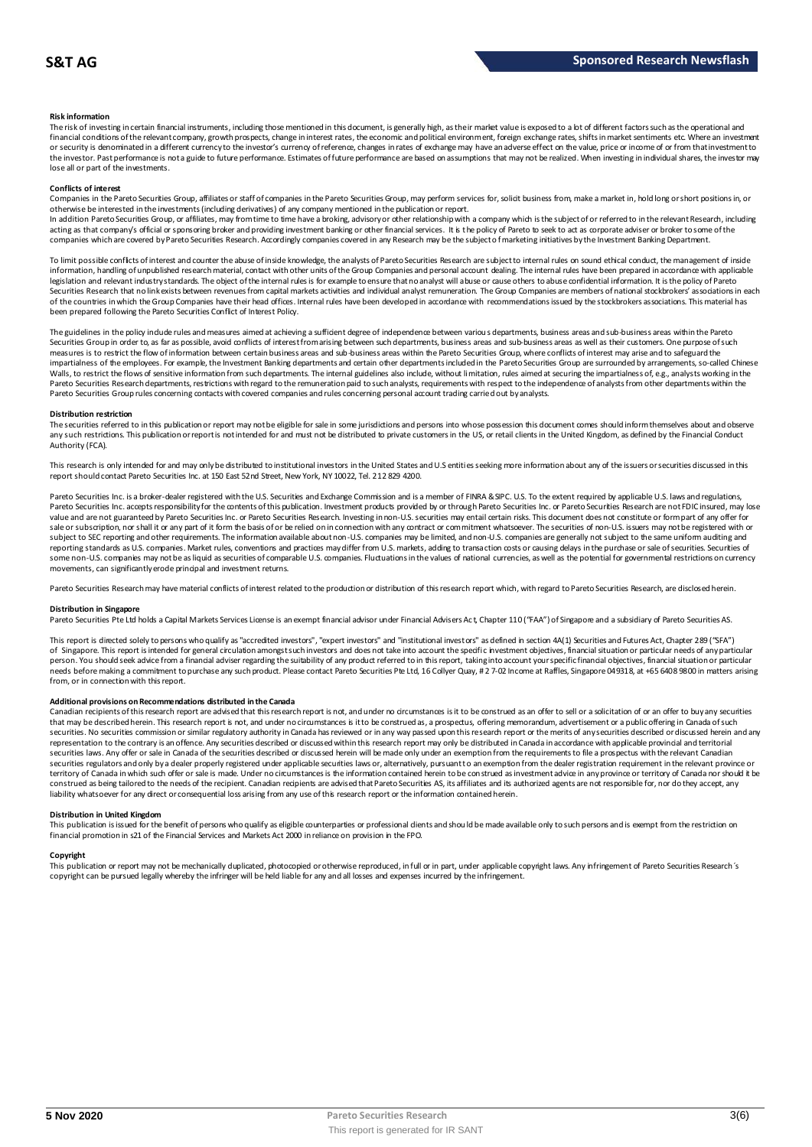#### **Risk information**

The risk of investing in certain financial instruments, including those mentioned in this document, is generally high, as their market value is exposed to a lot of different factors such as the operational and financial conditions of the relevant company, growth prospects, change in interest rates, the economic and political environment, foreign exchange rates, shifts in market sentiments etc. Where an investment or security is denominated in a different currency to the investor's currency of reference, changes in rates of exchange may have an adverse effect on the value, price or income of or from that investment to the investor. Past performance is not a guide to future performance. Estimates of future performance are based on assumptions that may not be realized. When investing in individual shares, the investor may lose all or part of the investments.

#### **Conflicts of interest**

Companies in the Pareto Securities Group, affiliates or staff of companies in the Pareto Securities Group, may perform services for, solicit business from, make a market in, hold long or short positions in, or otherwise be interested in the investments (including derivatives) of any company mentioned in the publication or report.<br>In addition Pareto Securities Group, or affiliates, may from time to time have a broking, advisory o

acting as that company's official or sponsoring broker and providing investment banking or other financial services. It is the policy of Pareto to seek to act as corporate adviser or broker to some of the companies which are covered by Pareto Securities Research. Accordingly companies covered in any Research may be the subject o f marketing initiatives by the Investment Banking Department.

To limit possible conflicts of interest and counter the abuse of inside knowledge, the analysts of Pareto Securities Research are subject to internal rules on sound ethical conduct, the management of inside information, handling of unpublished research material, contact with other units of the Group Companies and personal account dealing. The internal rules have been prepared in accordance with applicable legislation and relevant industry standards. The object of the internal rules is for example to ensure that no analyst will abuse or cause others to abuse confidential information. It is the policy of Pareto Securities Research that no link exists between revenues from capital markets activities and individual analyst remuneration. The Group Companies are members of national stockbrokers' associations in each of the countries in which the Group Companies have their head offices. Internal rules have been developed in accordance with recommendations issued by the stockbrokers associations. This material has been prepared following the Pareto Securities Conflict of Interest Policy.

The guidelines in the policy indude rules and measures aimed at achieving a sufficient degree of independence between various departments, business areas and sub-business areas within the Pareto Securities Group in order to, as far as possible, avoid conflicts of interest from arising between such departments, business areas and sub-business areas as well as their customers. One purpose of such measures is to restrict the flow of information between certain business areas and sub-business areas within the Pareto Securities Group, where conflicts of interest may arise and to safeguard the Pareto securities for exa The guidelines in the policy indude rules and measures aimed at achieving a sufficient degree of independence between various departments, business areas and sub-business areas within the Pareto<br>Securities Group in order t Pareto Securities Group rules concerning contacts with covered companies and rules concerning personal account trading carried out by analysts.

#### **Distribution restriction**

The securities referred to in this publication or report may not be eligible for sale in some jurisdictions and persons into whose possession this document comes should inform themselves about and observe Pareto Securities Group rules concerning contacts with covered companies and rules concerning personal account trading carried out by analysts.<br>Distribution restriction<br>The securities referred to in this publication or rep Authority (FCA).

This research is only intended for and may only be distributed to institutional investors in the United States and U.S entities seeking more information about any of the issuers or securities discussed in this report should contact Pareto Securities Inc. at 150 East 52nd Street, New York, NY 10022, Tel. 212 829 4200.

Pareto Securities Inc. is a broker-dealer registered with the U.S. Securities and Exchange Commission and is a member of FINRA & SIPC. U.S. To the extent required by applicable U.S. laws and regulations, Pareto Securities Inc. accepts responsibilityfor the contents of this publication. Investment products provided by or through Pareto Securities Inc. or Pareto Securities Research are not FDIC insured, may lose<br>value and ar sale or subscription, nor shall it or any part of it form the basis of or be relied on in connection with any contract or commitment whatsoever. The securities of non-U.S. issuers may not be registered with or subject to SEC reporting and other requirements. The information available about non-U.S. companies and non-U.S. companies are generally not subject to the same unifom auditing and<br>reporting standards as U.S. companies. Ma some non-U.S. companies may not be as liquid as securities of comparable U.S. companies. Fluctuations in the values of national currencies, as well as the potential for governmental restrictions on currency movements, can significantly erode principal and investment returns.

Pareto Securities Research may have material conflicts of interest related to the production or distribution of this research report which, with regard to Pareto Securities Research, are disclosed herein.

#### **Distribution in Singapore**

Pareto Securities Pte Ltd holds a Capital Markets Services License is an exempt financial advisor under Financial Advisers Ac t, Chapter 110 ("FAA") of Singapore and a subsidiary of Pareto Securities AS.

This report is directed solely to persons who qualify as "accredited investors", "expert investors" and "institutional investors" as defined in section 4A(1) Securities and Futures Act, Chapter 289 ("SFA") Distribution in Singapore<br>Pareto Securities Pte Ltd holds a Capital Markets Services License is an exempt financial advisor under Financial Advisers Act, Chapter 110 ("FAA") of Singapore and a subsidiary of Pareto Securiti person. You should seek advice from a financial adviser regarding the suitability of any product referred to in this report, taking into account your specific financial objectives, financial situation or particular needs before making a commitment to purchase any such product. Please contact Pareto Securities Pte Ltd, 16 Collyer Quay, # 2 7-02 Income at Raffles, Singapore 049318, at +65 6408 9800 in matters arising<br>from, or in connec

#### **Additional provisions on Recommendations distributed in the Canada**

needs before making a commitment to purchase any such product. Please contact Pareto Securities Pte Ltd, 16 Collyer Quay, # 2 7-02 Income at Raffles, Singapore 04 9318, at +65 6408 9800 in matters arisin<br>from, or in connec that may be described herein. This research report are advised that this research report is not, and under no circumstances is it to be construed as an offer to sell or a solicitation of or an offer to buy any securities<br>t securities. No securities commission or similar regulatory authority in Canada has reviewed or in any way passed upon this research report or the merits of any securities described or discussed herein and any representation to the contrary is an offence. Any securities described or discussed within this research report may only be distributed in Canada in accordance with applicable provincial and territorial securities laws. Any offer or sale in Canada of the securities described or discussed herein will be made only under an exemption from the requirements to file a prospectus with the relevant Canadian securities regulators and only bya dealer properly registered under applicable securities laws or, alternatively, pursuant to an exemption from the dealer registration requirement in the relevant province or<br>territory of C construed as being tailored to the needs of the recipient. Canadian recipients are advised that Pareto Securities AS, its affiliates and its authorized agents are not responsible for, nor do they accept, any liability whatsoever for any direct or consequential loss arising from any use of this research report or the information contained herein.

#### **Distribution in United Kingdom**

This publication is issued for the benefit of persons who qualify as eligible counterparties or professional dients and should be made available only to such persons and is exempt from the restriction on financial promotion in s21 of the Financial Services and Markets Act 2000 in reliance on provision in the FPO.

#### **Copyright**

This publication is issued for the benefit of persons who qualify as eligible counterparties or professional dients and should be made available only to such persons and is exempt from the restriction on<br>financial promotio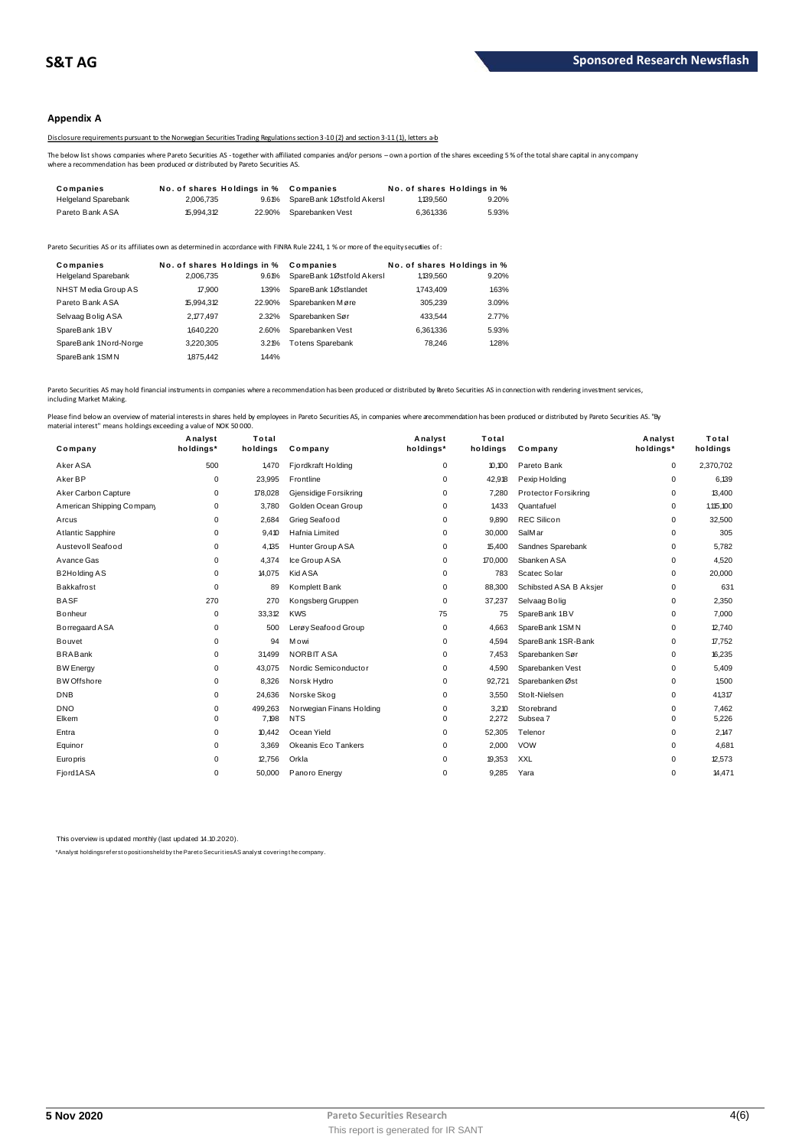### **Appendix A**

Disclosure requirements pursuant to the Norwegian Securities Trading Regulations section 3-10 (2) and section 3-11 (1), letters a-b

The below list shows companies where Pareto Securities AS - together with affiliated companies and/or persons – own a portion of the shares exceeding 5 % of the total share capital in any company<br>where a recommendation has

| The below list shows companies where Pareto Securities AS - together with affiliated companies and/or persons - own a portion of the shares exceeding 5<br>where a recommendation has been produced or distributed by Pareto Securities AS. |       |  |  |  |  |  |
|---------------------------------------------------------------------------------------------------------------------------------------------------------------------------------------------------------------------------------------------|-------|--|--|--|--|--|
|                                                                                                                                                                                                                                             |       |  |  |  |  |  |
| No. of shares Holdings in %<br>No. of shares Holdings in %<br>Companies<br>Companies                                                                                                                                                        |       |  |  |  |  |  |
| <b>Helgeland Sparebank</b><br>SpareBank 1Østfold Akersl<br>2.006.735<br>1,139,560<br>9.61%                                                                                                                                                  | 9.20% |  |  |  |  |  |

| <b>I GIGIU DAIIN AUA</b>                                                                                                              | N.JJT.J K  |                             | 22.3070 UDGICDGIINCII VCSL | <b>U.JU I.JUU</b> | <b>U.U.U.</b>               |
|---------------------------------------------------------------------------------------------------------------------------------------|------------|-----------------------------|----------------------------|-------------------|-----------------------------|
|                                                                                                                                       |            |                             |                            |                   |                             |
| Pareto Securities AS or its affiliates own as determined in accordance with FINRA Rule 2241, 1 % or more of the equity securities of: |            |                             |                            |                   |                             |
| Companies                                                                                                                             |            | No. of shares Holdings in % | Companies                  |                   | No. of shares Holdings in % |
| <b>Helgeland Sparebank</b>                                                                                                            | 2.006.735  | 9.61%                       | SpareBank 1Østfold Akersl  | 1,139,560         | 9.20%                       |
| NHST Media Group AS                                                                                                                   | 17,900     | 139%                        | SpareBank 1Østlandet       | 1.743.409         | 1.63%                       |
| Pareto Bank ASA                                                                                                                       | 15.994.312 | 22.90%                      | Sparebanken Møre           | 305.239           | 3.09%                       |
| Selvaag Bolig ASA                                                                                                                     | 2,177,497  | 2.32%                       | Sparebanken Sør            | 433.544           | 2.77%                       |
| SpareBank 1BV                                                                                                                         | 1.640.220  | 2.60%                       | Sparebanken Vest           | 6,361,336         | 5.93%                       |
| SpareBank 1Nord-Norge                                                                                                                 | 3,220,305  | 3.21%                       | <b>Totens Sparebank</b>    | 78.246            | 1.28%                       |
| SpareBank 1SMN                                                                                                                        | 1875.442   | 1.44%                       |                            |                   |                             |
|                                                                                                                                       |            |                             |                            |                   |                             |

Pareto Securities AS may hold financial instruments in companies where a recommendation has been produced or distributed by Breto Securities AS in connection with rendering investment services, including Market Making.

| Company                   | Analyst<br>holdings* | Total<br>holdings | Company                  | Analyst<br>holdings* | Total<br>holdings | Company                | Analyst<br>holdings* | Total<br>holdings |
|---------------------------|----------------------|-------------------|--------------------------|----------------------|-------------------|------------------------|----------------------|-------------------|
| Aker ASA                  | 500                  | 1470              | Fjordkraft Holding       | 0                    | 10.100            | Pareto Bank            | $\mathbf 0$          | 2,370,702         |
| Aker BP                   | 0                    | 23,995            | Frontline                | $\Omega$             | 42,918            | Pexip Holding          | 0                    | 6,139             |
| Aker Carbon Capture       | 0                    | 178,028           | Gjensidige Forsikring    | 0                    | 7,280             | Protector Forsikring   | 0                    | 13,400            |
| American Shipping Company | 0                    | 3.780             | Golden Ocean Group       | 0                    | 1.433             | Quantafuel             | 0                    | 1.115.100         |
| Arcus                     | 0                    | 2,684             | Grieg Seafood            | 0                    | 9,890             | <b>REC Silicon</b>     | 0                    | 32,500            |
| Atlantic Sapphire         | 0                    | 9.410             | Hafnia Limited           | 0                    | 30,000            | SalMar                 | 0                    | 305               |
| Austevoll Seafood         | 0                    | 4.135             | Hunter Group ASA         | 0                    | 15,400            | Sandnes Sparebank      | 0                    | 5,782             |
| Avance Gas                | 0                    | 4,374             | Ice Group ASA            | 0                    | 170,000           | Sbanken ASA            | 0                    | 4,520             |
| <b>B2Holding AS</b>       | 0                    | 14,075            | <b>Kid A SA</b>          | 0                    | 783               | Scatec Solar           | 0                    | 20,000            |
| Bakkafrost                | 0                    | 89                | Komplett Bank            | 0                    | 88,300            | Schibsted ASA B Aksjer | 0                    | 631               |
| <b>BASF</b>               | 270                  | 270               | Kongsberg Gruppen        | 0                    | 37,237            | Selvaag Bolig          | 0                    | 2,350             |
| Bonheur                   | 0                    | 33,312            | <b>KWS</b>               | 75                   | 75                | SpareBank 1BV          | 0                    | 7,000             |
| Borregaard ASA            | $\mathbf 0$          | 500               | Lerøy Seafood Group      | 0                    | 4,663             | SpareBank 1SMN         | 0                    | 12,740            |
| <b>Bouvet</b>             | 0                    | 94                | Mowi                     | 0                    | 4,594             | SpareBank 1SR-Bank     | 0                    | 17,752            |
| <b>BRABank</b>            | $\Omega$             | 31499             | NORBIT ASA               | $\Omega$             | 7,453             | Sparebanken Sør        | $\mathbf 0$          | 16,235            |
| <b>BW</b> Energy          | 0                    | 43,075            | Nordic Semiconductor     | 0                    | 4,590             | Sparebanken Vest       | 0                    | 5,409             |
| <b>BW</b> Offshore        | 0                    | 8,326             | Norsk Hydro              | 0                    | 92,721            | Sparebanken Øst        | 0                    | 1,500             |
| <b>DNB</b>                | 0                    | 24,636            | Norske Skog              | 0                    | 3,550             | Stolt-Nielsen          | 0                    | 41,317            |
| <b>DNO</b>                | 0                    | 499,263           | Norwegian Finans Holding | 0                    | 3,210             | Storebrand             | 0                    | 7,462             |
| Elkem                     | 0                    | 7,198             | <b>NTS</b>               | 0                    | 2,272             | Subsea 7               | 0                    | 5,226             |
| Entra                     | $\mathbf 0$          | 10,442            | Ocean Yield              | $\Omega$             | 52,305            | Telenor                | $\mathbf 0$          | 2,147             |
| Equinor                   | 0                    | 3,369             | Okeanis Eco Tankers      | 0                    | 2,000             | <b>VOW</b>             | 0                    | 4,681             |
| Europris                  | $\Omega$             | 12,756            | Orkla                    | $\Omega$             | 19,353            | XXL                    | $\mathbf 0$          | 12,573            |
| Fjord1ASA                 | $\Omega$             | 50,000            | Panoro Energy            | $\Omega$             | 9,285             | Yara                   | $\Omega$             | 14,471            |
|                           |                      |                   |                          |                      |                   |                        |                      |                   |

This overview is updated monthly (last updated 14.10.2020).

\*Analyst holdings ref ers t o posit ions held by t he Paret o Securit ies AS analyst covering t he company.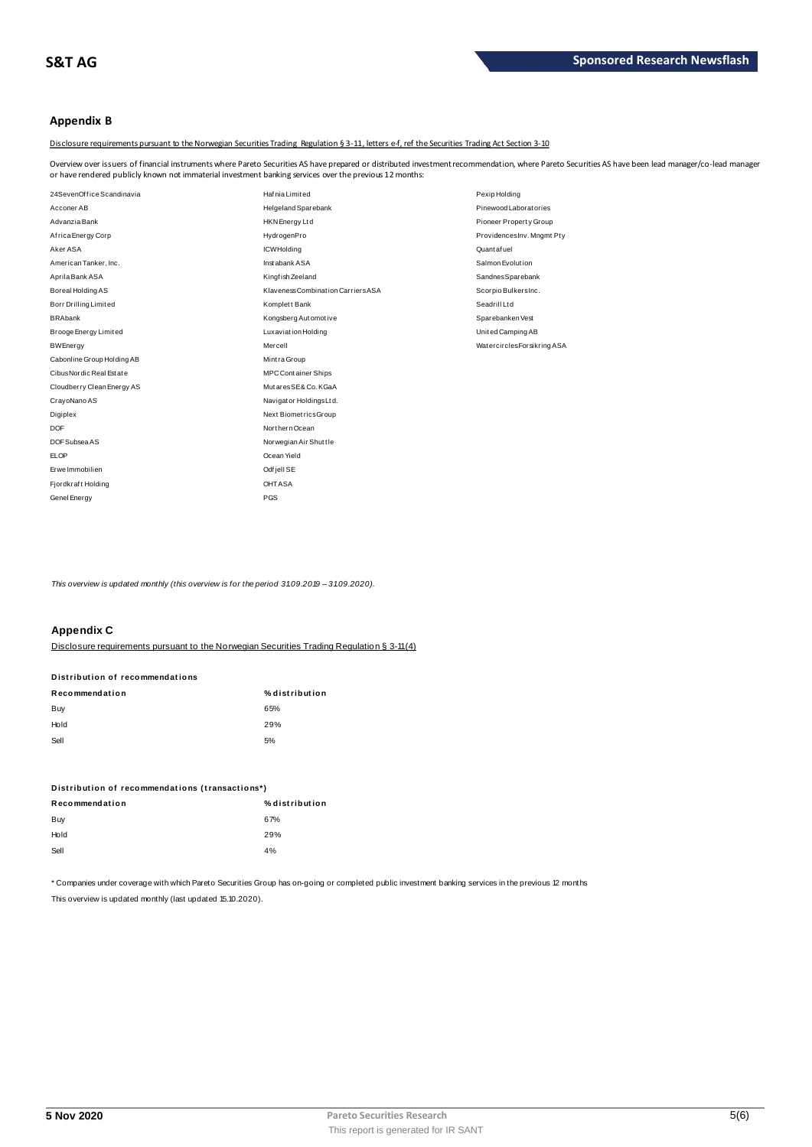### **Appendix B**

Disclosure requirements pursuant to the Norwegian Securities Trading Regulation § 3-11, letters e-f, ref the Securities Trading Act Section 3-10

Overview over issuers of financial instruments where Pareto Securities AS have prepared or distributed investment recommendation, where Pareto Securities AS have been lead manager/co-lead manager<br>or have rendered publicly

| or have rendered publicly known not immaterial investment banking services over the previous 12 months: |                                    |                            |
|---------------------------------------------------------------------------------------------------------|------------------------------------|----------------------------|
| 24SevenOffice Scandinavia                                                                               | Hafnia Limited                     | Pexip Holding              |
| Acconer AB                                                                                              | <b>Helgeland Sparebank</b>         | Pinewood Laborat ories     |
| Advanzia Bank                                                                                           | <b>HKN</b> Energy Ltd              | Pioneer Property Group     |
| Africa Energy Corp                                                                                      | HydrogenPro                        | ProvidencesInv. Mngmt Pty  |
| Aker ASA                                                                                                | <b>ICWHolding</b>                  | Quant af uel               |
| American Tanker, Inc.                                                                                   | Instabank ASA                      | Salmon Evolution           |
| Aprila Bank ASA                                                                                         | Kingfish Zeeland                   | SandnesSparebank           |
| Boreal Holding AS                                                                                       | Klaveness Combination Carriers ASA | Scorpio BulkersInc.        |
| Borr Drilling Limited                                                                                   | Komplett Bank                      | Seadrill Ltd               |
| <b>BRAbank</b>                                                                                          | Kongsberg Automotive               | Sparebanken Vest           |
| Brooge Energy Limited                                                                                   | Luxaviation Holding                | United Camping AB          |
| <b>BWEnergy</b>                                                                                         | Mercell                            | WatercirclesForsikring ASA |
| Cabonline Group Holding AB                                                                              | Mintra Group                       |                            |
| Cibus Nordic Real Estate                                                                                | <b>MPC Container Ships</b>         |                            |
| Cloudberry Clean Energy AS                                                                              | MutaresSE& Co. KGaA                |                            |
| CrayoNano AS                                                                                            | Navigator HoldingsLtd.             |                            |
| Digiplex                                                                                                | Next BiometricsGroup               |                            |
| <b>DOF</b>                                                                                              | Northern Ocean                     |                            |
| DOF Subsea AS                                                                                           | Norwegian Air Shuttle              |                            |
| <b>ELOP</b>                                                                                             | Ocean Yield                        |                            |
| Erwe Immobilien                                                                                         | Odfjell SE                         |                            |
| Fjordkraft Holding                                                                                      | <b>OHTASA</b>                      |                            |
| Genel Energy                                                                                            | PGS                                |                            |

*This overview is updated monthly (this overview is for the period 3 1.0 9.2019 – 3 1.0 9.2020).*

### **Appendix C**

| <b>APPULLAN</b>                                                                            |                |
|--------------------------------------------------------------------------------------------|----------------|
| Disclosure requirements pursuant to the Norwegian Securities Trading Requisition § 3-11(4) |                |
| Distribution of recommendations                                                            |                |
| Recommendation                                                                             | % distribution |
| <b>Buy</b>                                                                                 | 65%            |
| Hold                                                                                       | 29%            |
| Sell                                                                                       | 5%             |

| ັບບ                                             | $\mathsf{v}$   |
|-------------------------------------------------|----------------|
| Distribution of recommendations (transactions*) |                |
| Recommendation                                  | % distribution |
| Buy                                             | 67%            |
| Hold                                            | 29%            |
| Sell                                            | 4%             |
|                                                 |                |

\* Companies under coverage with which Pareto Securities Group has on-going or completed public investment banking services in the previous 12 months This overview is updated monthly (last updated 15.10.2020).